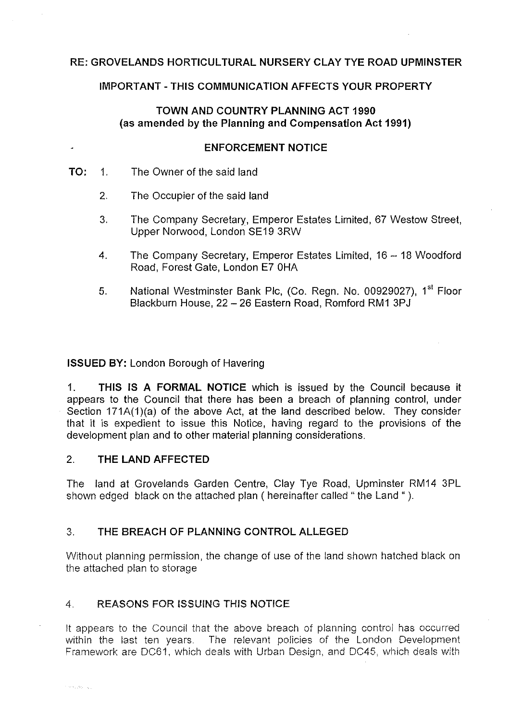# **RE: GROVELANDS HORTICULTURAL NURSERY CLAY TYE ROAD UPMINSTER**

### **IMPORTANT-THIS COMMUNICATION AFFECTS YOUR PROPERTY**

# **TOWN AND COUNTRY PLANNING ACT 1990 (as amended by the Planning and Compensation Act 1991)**

#### **ENFORCEMENT NOTICE**

**TO:** 1. The Owner of the said land

 $\ddot{\phantom{0}}$ 

- 2. The Occupier of the said land
- 3. The Company Secretary, Emperor Estates Limited, 67 Weslow Street, Upper Norwood, London SE19 3RW
- 4. The Company Secretary, Emperor Estates Limited, 16 18 Woodford Road, Forest Gate, London E7 0HA
- 5. National Westminster Bank Plc, (Co. Regn. No. 00929027), 1<sup>st</sup> Floor Blackburn House, 22 - 26 Eastern Road, Romford RM1 3PJ

#### **ISSUED BY:** London Borough of Havering

**1. THIS IS A FORMAL NOTICE** which is issued by the Council because **ii**  appears to the Council that there has been a breach of planning control, under Section 171A(1)(a) of the above Act, at the land described below. They consider that it is expedient to issue this Notice, having regard to the provisions of the development plan and to other material planning considerations.

# 2. **THE LAND AFFECTED**

The land at Grovelands Garden Centre, Clay Tye Road, Upminster RM14 3PL shown edged black on the attached plan ( hereinafter called "the Land ").

# 3. **THE BREACH OF PLANNING CONTROL ALLEGED**

Without planning permission, the change of use of the land shown hatched black on the attached plan to storage

# 4. **REASONS FOR ISSUING THIS NOTICE**

It appears to the Council that the above breach of planning control has occurred within the last ten years. The relevant policies of the London Development Framework are DC61, which deals with Urban Design, and DC45, which deals with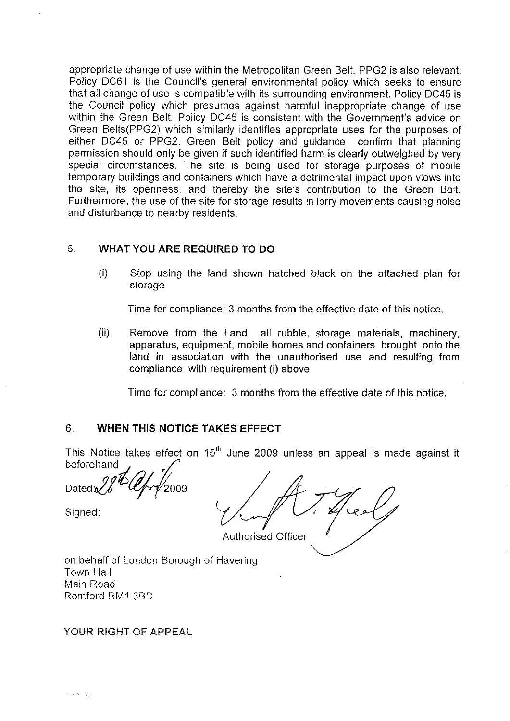appropriate change of use within the Metropolitan Green Belt. PPG2 is also relevant. Policy DC61 is the Council's general environmental policy which seeks to ensure that all change of use is compatible with its surrounding environment. Policy DC45 is the Council policy which presumes against harmful inappropriate change of use within the Green Belt. Policy DC45 is consistent with the Government's advice on Green Belts(PPG2) which similarly identifies appropriate uses for the purposes of either DC45 or PPG2. Green Belt policy and guidance confirm that planning permission should only be given if such identified harm is clearly outweighed by very special circumstances. The site is being used for storage purposes of mobile temporary buildings and containers which have a detrimental impact upon views into the site, its openness, and thereby the site's contribution to the Green Belt. Furthermore, the use of the site for storage results in lorry movements causing noise and disturbance to nearby residents.

# 5. **WHAT YOU ARE REQUIRED TO DO**

(i) Stop using the land shown hatched black on the attached plan for storage

Time for compliance: 3 months from the effective date of this notice.

(ii) Remove from the Land all rubble, storage materials, machinery, apparatus, equipment, mobile homes and containers brought onto the land in association with the unauthorised use and resulting from compliance with requirement (i) above

Time for compliance: 3 months from the effective date of this notice.

# 6. **WHEN THIS NOTICE TAKES EFFECT**

This Notice takes effect on  $15<sup>th</sup>$  June 2009 unless an appeal is made against it beforehand

Dated.

Signed:

Authorised Officer

on behalf of London Borough of Havering Town Hall Main Road Romford RM1 3BD

YOUR RIGHT OF APPEAL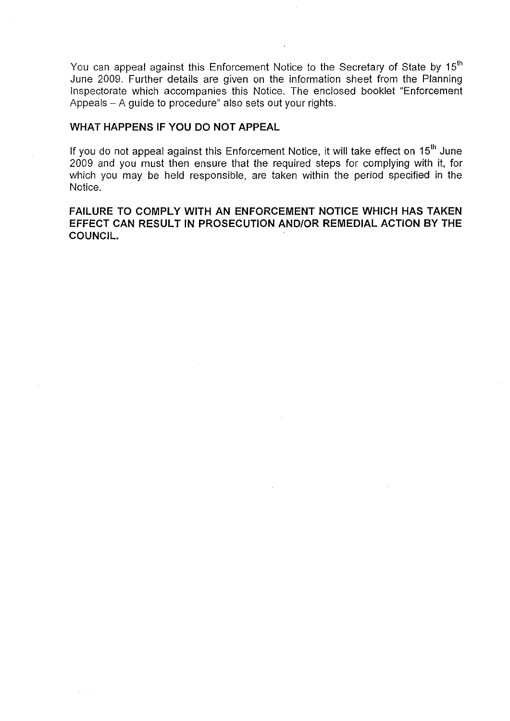You can appeal against this Enforcement Notice to the Secretary of State by 15<sup>th</sup> June 2009. Further details are given on the information sheet from the Planning Inspectorate which accompanies this Notice. The enclosed booklet "Enforcement Appeals - A guide to procedure" also sets out your rights.

### **WHAT HAPPENS IF YOU DO NOT APPEAL**

If you do not appeal against this Enforcement Notice, it will take effect on  $15<sup>th</sup>$  June 2009 and you must then ensure that the required steps for complying with it, for which you may be held responsible, are taken within the period specified in the Notice.

# **FAILURE TO COMPLY WITH AN ENFORCEMENT NOTICE WHICH HAS TAKEN EFFECT CAN RESULT IN PROSECUTION AND/OR REMEDIAL ACTION BY THE COUNCIL.**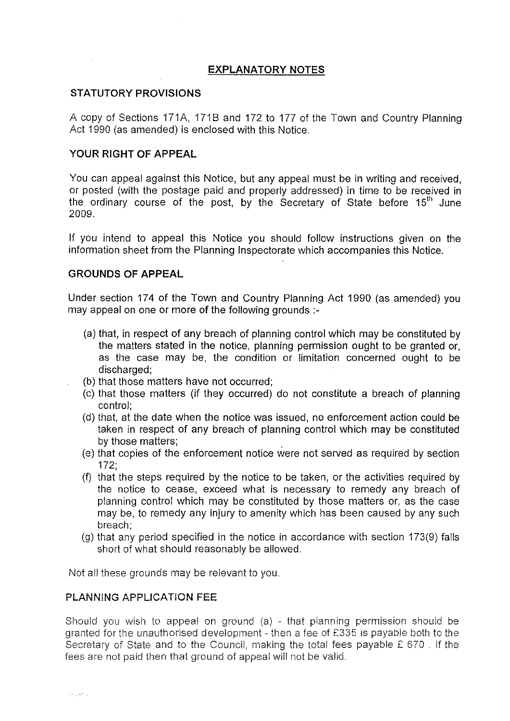# **EXPLANATORY NOTES**

# **STATUTORY PROVISIONS**

A copy of Sections 171A, 171B and 172 to 177 of the Town and Country Planning Act 1990 (as amended) is enclosed with this Notice.

# **YOUR RIGHT OF APPEAL**

You can appeal against this Notice, but any appeal must be in writing and received, or posted (with the postage paid and properly addressed) in time to be received in the ordinary course of the post, by the Secretary of State before  $15<sup>th</sup>$  June 2009.

If you intend to appeal this Notice you should follow instructions given on the information sheet from the Planning Inspectorate which accompanies this Notice.

### **GROUNDS OF APPEAL**

Under section 174 of the Town and Country Planning Act 1990 (as amended) you may appeal on one or more of the following grounds :-

- (a) that, in respect of any breach of planning control which may be constituted by the matters stated in the notice, planning permission ought to be granted or, as the case may be, the condition or limitation concerned ought to be discharged;
- (b) that those matters have not occurred;
- (c) that those matters (if they occurred) do not constitute a breach of planning control;
- (d) that, at the date when the notice was issued, no enforcement action could be taken in respect of any breach of planning control which may be constituted by those matters;
- (e) that copies of the enforcement notice were not served as required by section 172;
- (f) that the steps required by the notice to be taken, or the activities required by the notice to cease, exceed what is necessary to remedy any breach of planning control which may be constituted by those matters or, as the case may be, to remedy any injury to amenity which has been caused by any such breach;
- (g) that any period specified in the notice in accordance with section 173(9) falls short of what should reasonably be allowed.

Not all these grounds may be relevant to you.

#### **PLANNING APPLICATION FEE**

Should you wish to appeal on ground  $(a)$  - that planning permission should be granted for the unauthorised development - then a fee of £335 is payable both to the Secretary of State and to the Council, making the total fees payable £ 670 . If the fees are not paid then that ground of appeal will not be valid.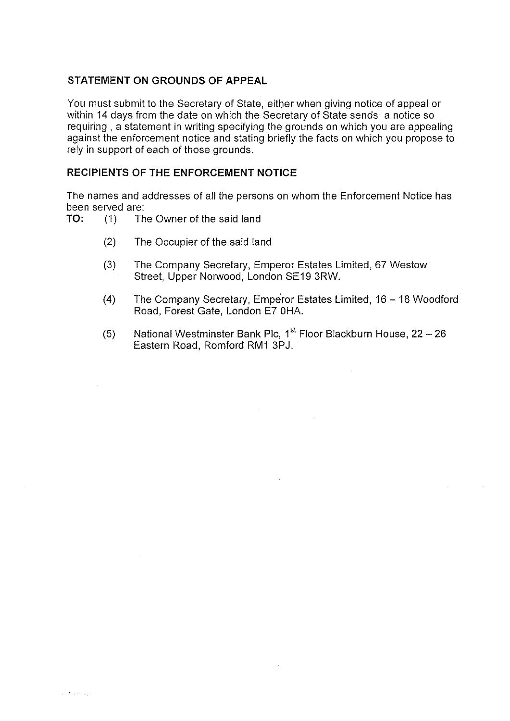# **STATEMENT ON GROUNDS OF APPEAL**

You must submit to the Secretary of State, either when giving notice of appeal or within 14 days from the date on which the Secretary of State sends a notice so requiring , a statement in writing specifying the grounds on which you are appealing against the enforcement notice and stating briefly the facts on which you propose to rely in support of each of those grounds.

# **RECIPIENTS OF THE ENFORCEMENT NOTICE**

The names and addresses of all the persons on whom the Enforcement Notice has been served are:<br> $TO: (1)$  Th

- (1) The Owner of the said land
	- (2) The Occupier of the said land
	- (3) The Company Secretary, Emperor Estates Limited, 67 Weslow Street, Upper Norwood, London SE19 3RW.
	- (4) The Company Secretary, Emperor Estates Limited, 16 -18 Woodford Road, Forest Gate, London E7 0HA.
	- (5) National Westminster Bank Plc,  $1^{st}$  Floor Blackburn House, 22 26 Eastern Road, Romford RM1 3PJ.

 $\mathcal{L}^{\mathcal{L}}$